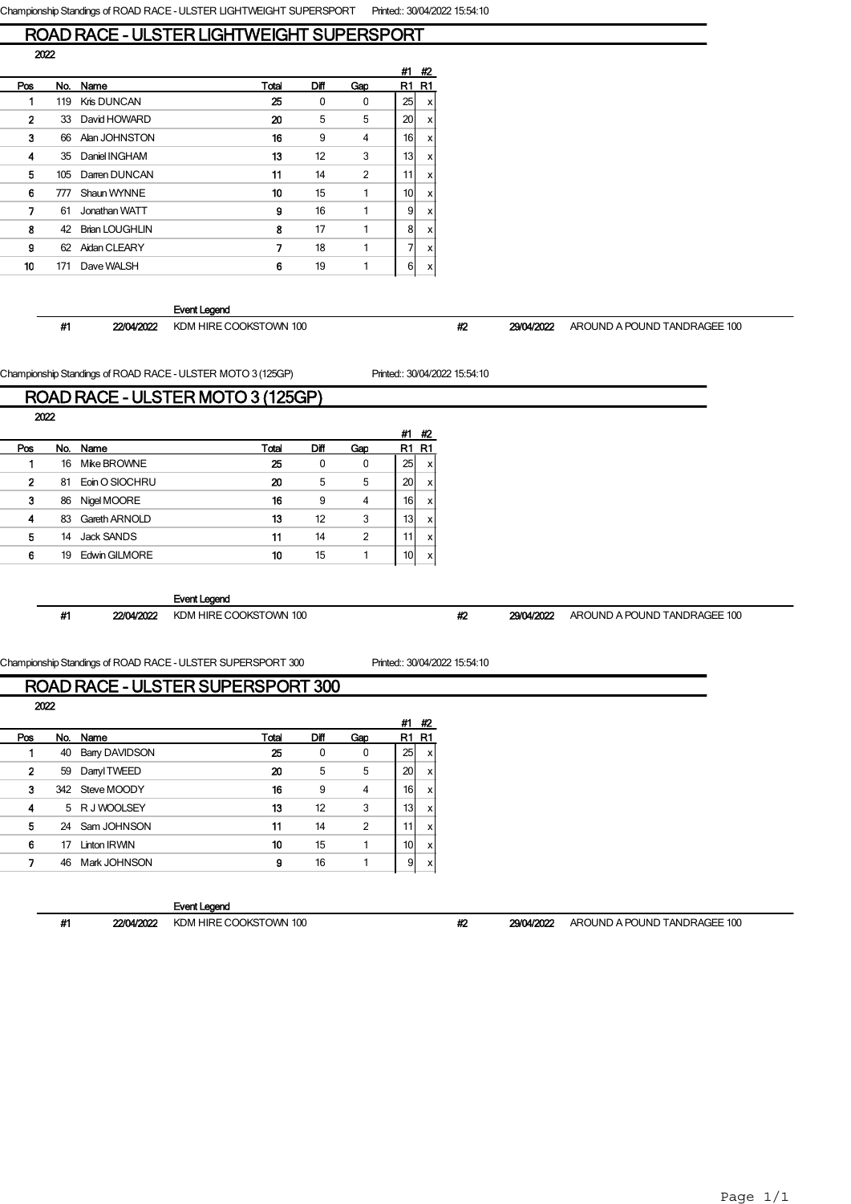### ROAD RACE - ULSTER LIGHTWEIGHT SUPERSPORT 2022

|     |     |                       |       |              |                | #1              | #2 |
|-----|-----|-----------------------|-------|--------------|----------------|-----------------|----|
| Pos | No. | Name                  | Total | Diff         | Gap            | R1              | R1 |
|     | 119 | Kris DUNCAN           | 25    | $\mathbf{0}$ | $\mathbf{0}$   | 25              | x  |
| 2   | 33  | David HOWARD          | 20    | 5            | 5              | 20              | x  |
| 3   | 66  | Alan JOHNSTON         | 16    | 9            | 4              | 16 <sup>1</sup> | x  |
| 4   | 35  | Daniel INGHAM         | 13    | 12           | 3              | 13              | x  |
| 5   | 105 | Darren DUNCAN         | 11    | 14           | $\overline{2}$ | 11              | x  |
| 6   | 777 | Shaun WYNNF           | 10    | 15           | 1              | 10 <sup>1</sup> | x  |
| 7   | 61  | Jonathan WATT         | 9     | 16           | 1              | 9               | x  |
| 8   | 42  | <b>Brian LOUGHLIN</b> | 8     | 17           | 1              | 8               | x  |
| 9   | 62  | <b>Aidan CLEARY</b>   | 7     | 18           | 1              | 7               | x  |
| 10  | 171 | Dave WALSH            | 6     | 19           |                | 6               | x  |
|     |     |                       |       |              |                |                 |    |

### Event Legend

#1 22/04/2022 KDM HIRE COOKSTOWN 100 #2 29/04/2022 AROUND A POUND TANDRAGEE 100

Championship Standings of ROAD RACE - ULSTER MOTO 3 (125GP) Printed:: 30/04/2022 15:54:10

#1 #2

### ROAD RACE - ULSTER MOTO 3 (125GP) 2022

|     |     |                |       |      |     | #1              | #2       |
|-----|-----|----------------|-------|------|-----|-----------------|----------|
| Pos | No. | Name           | Total | Diff | Gao | R1              | R1       |
|     | 16  | Mike BROWNE    | 25    | 0    | 0   | 25              | <b>X</b> |
| 2   | 81  | Eoin O SIOCHRU | 20    | 5    | 5   | 20              | x        |
| 3   | 86  | Nigel MOORE    | 16    | 9    | 4   | 16              | x        |
| 4   | 83  | Gareth ARNOLD  | 13    | 12   | 3   | 13 <sub>l</sub> | x        |
| 5   | 14  | Jack SANDS     | 11    | 14   | 2   | 11              | x        |
| 6   | 19  | Edwin GILMORE  | 10    | 15   |     | 10 <sub>1</sub> | x        |

### Event Legend

#1 22/04/2022 KDM HIRE COOKSTOWN 100 #2 29/04/2022 AROUND A POUND TANDRAGEE 100

### Championship Standings of ROAD RACE - ULSTER SUPERSPORT 300 Printed:: 30/04/2022 15:54:10 ROAD RACE - ULSTER SUPERSPORT 300

| <u>NUAD NAUE - ULSTEN SUFENSFUNT SUV</u> |  |
|------------------------------------------|--|
| 2022                                     |  |

| Pos          |    | No. Name             | Total | Diff | Gao            | R1 | - R1                      |
|--------------|----|----------------------|-------|------|----------------|----|---------------------------|
|              | 40 | <b>Bany DAVIDSON</b> | 25    | 0    | 0              | 25 | $\boldsymbol{\mathsf{x}}$ |
| $\mathbf{2}$ | 59 | Danyl TWEED          | 20    | 5    | 5              | 20 | x                         |
| з            |    | 342 Steve MOODY      | 16    | 9    | 4              | 16 | x                         |
| 4            |    | 5 RJ WOOLSEY         | 13    | 12   | 3              | 13 | <b>X</b>                  |
| 5            |    | 24 Sam JOHNSON       | 11    | 14   | $\overline{2}$ | 11 | x                         |
| 6            | 17 | Linton IRWIN         | 10    | 15   |                | 10 | x                         |
| 7            | 46 | Mark JOHNSON         | 9     | 16   |                | 91 | x                         |
|              |    |                      |       |      |                |    |                           |

### Event Legend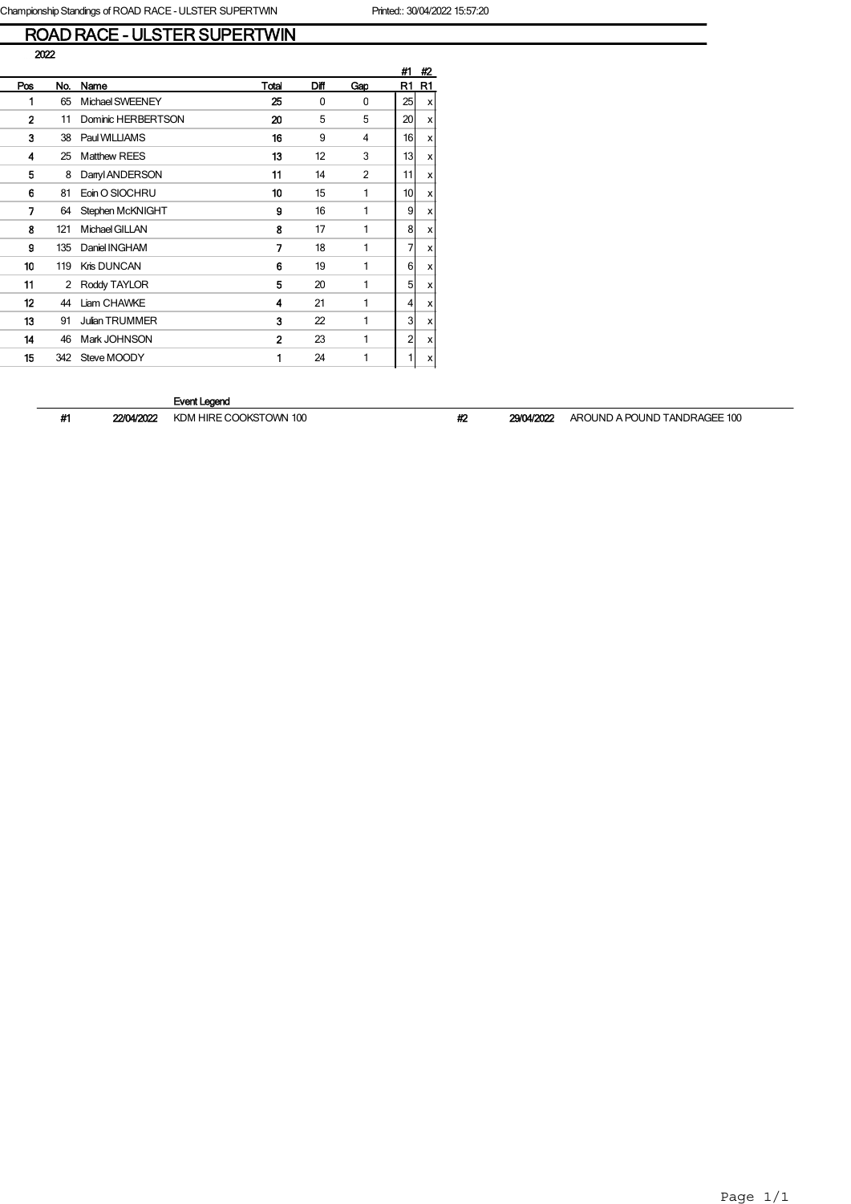# ROAD RACE - ULSTER SUPERTWIN

|     |     |                       |                |      |                | #1 | #2                        |
|-----|-----|-----------------------|----------------|------|----------------|----|---------------------------|
| Pos | No. | Name                  | Total          | Difl | Gap            | R1 | R1                        |
| 1   | 65  | Michael SWEENEY       | 25             | 0    | 0              | 25 | x                         |
| 2   | 11  | Dominic HERBERTSON    | 20             | 5    | 5              | 20 | X                         |
| 3   | 38  | Paul WILLIAMS         | 16             | 9    | 4              | 16 | $\boldsymbol{\mathsf{x}}$ |
| 4   | 25  | <b>Matthew REES</b>   | 13             | 12   | 3              | 13 | X                         |
| 5   | 8   | Danyl ANDERSON        | 11             | 14   | $\overline{2}$ | 11 | x                         |
| 6   | 81  | Eoin O SIOCHRU        | 10             | 15   | 1              | 10 | $\boldsymbol{\mathsf{x}}$ |
| 7   | 64  | Stephen McKNIGHT      | 9              | 16   | 1              | 9  | x                         |
| 8   | 121 | Michael GILLAN        | 8              | 17   | 1              | 8  | X                         |
| 9   | 135 | Daniel INGHAM         | 7              | 18   | 1              | 7  | x                         |
| 10  | 119 | Kris DUNCAN           | 6              | 19   | 1              | 6  | x                         |
| 11  | 2   | Roddy TAYLOR          | 5              | 20   | 1              | 5  | X                         |
| 12  | 44  | Liam CHAWKE           | 4              | 21   | 1              | 4  | x                         |
| 13  | 91  | <b>Julian TRUMMER</b> | 3              | 22   | 1              | 3  | x                         |
| 14  | 46  | Mark JOHNSON          | $\overline{2}$ | 23   | 1              | 2  | x                         |
| 15  | 342 | Steve MOODY           | 1              | 24   | 1              | 1  | x١                        |

### Event Legend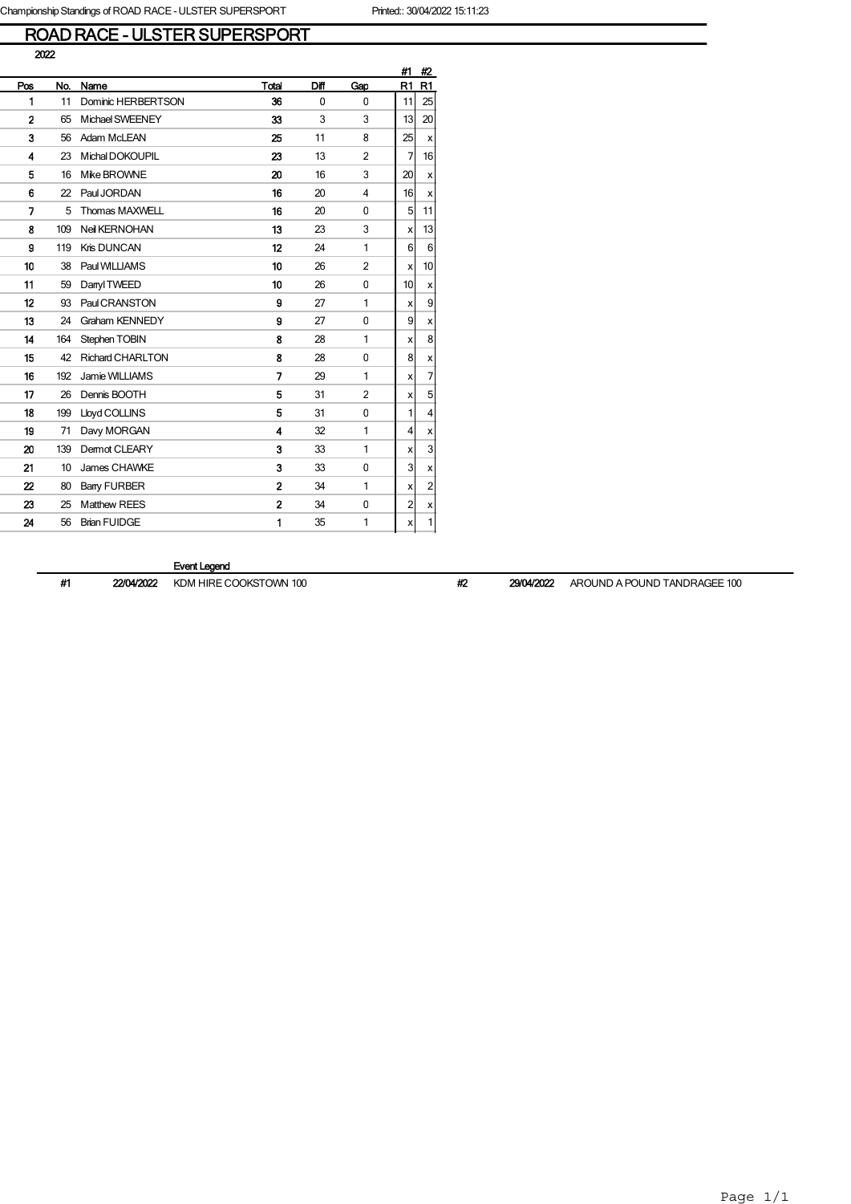### ROAD RACE - ULSTER SUPERSPORT

|                |     |                         |                |              |                | #1             | #2                        |
|----------------|-----|-------------------------|----------------|--------------|----------------|----------------|---------------------------|
| Pos            | No. | Name                    | Total          | Diff         | Gap            | R <sub>1</sub> | R1                        |
| 1              | 11  | Dominic HERBERTSON      | 36             | $\mathbf{0}$ | $\Omega$       | 11             | 25                        |
| $\overline{2}$ | 65  | <b>Michael SWEENEY</b>  | 33             | 3            | 3              | 13             | 20                        |
| 3              | 56  | Adam McLEAN             | 25             | 11           | 8              | 25             | $\boldsymbol{\mathsf{x}}$ |
| 4              | 23  | Michal DOKOUPIL         | 23             | 13           | $\overline{2}$ | 7              | 16                        |
| 5              | 16  | Mike BROWNE             | 20             | 16           | 3              | 20             | x                         |
| 6              | 22  | Paul JORDAN             | 16             | 20           | 4              | 16             | x                         |
| 7              | 5   | Thomas MAXWELL          | 16             | 20           | 0              | 5              | 11                        |
| 8              | 109 | Neil KERNOHAN           | 13             | 23           | 3              | x              | 13                        |
| 9              | 119 | <b>Kris DUNCAN</b>      | 12             | 24           | 1              | 6              | $6 \,$                    |
| 10             | 38  | Paul WILLIAMS           | 10             | 26           | $\overline{2}$ | X              | 10                        |
| 11             | 59  | Danyl TWEED             | 10             | 26           | 0              | 10             | x                         |
| 12             | 93  | Paul CRANSTON           | 9              | 27           | 1              | x              | 9                         |
| 13             | 24  | Graham KENNEDY          | 9              | 27           | 0              | 9              | х                         |
| 14             | 164 | Stephen TOBIN           | 8              | 28           | 1              | x              | 8                         |
| 15             | 42  | <b>Richard CHARLTON</b> | 8              | 28           | 0              | 8              | х                         |
| 16             | 192 | Jamie WILLIAMS          | 7              | 29           | 1              | x              | $\overline{7}$            |
| 17             | 26  | Dennis BOOTH            | 5              | 31           | $\overline{2}$ | x              | 5 <sup>1</sup>            |
| 18             | 199 | Lloyd COLLINS           | 5              | 31           | 0              | 1              | $\overline{4}$            |
| 19             | 71  | Davy MORGAN             | 4              | 32           | 1              | 4              | x                         |
| 20             | 139 | Dermot CLEARY           | 3              | 33           | 1              | x              | 3                         |
| 21             | 10  | James CHAWKE            | 3              | 33           | 0              | 3              | $\boldsymbol{\mathsf{x}}$ |
| 22             | 80  | <b>Bany FURBER</b>      | $\overline{2}$ | 34           | 1              | x              | $\overline{a}$            |
| 23             | 25  | <b>Matthew REES</b>     | $\overline{a}$ | 34           | 0              | 2              | X                         |
| 24             | 56  | <b>Brian FUIDGE</b>     | 1              | 35           | 1              | x              | $\mathbf{1}$              |

Event Legend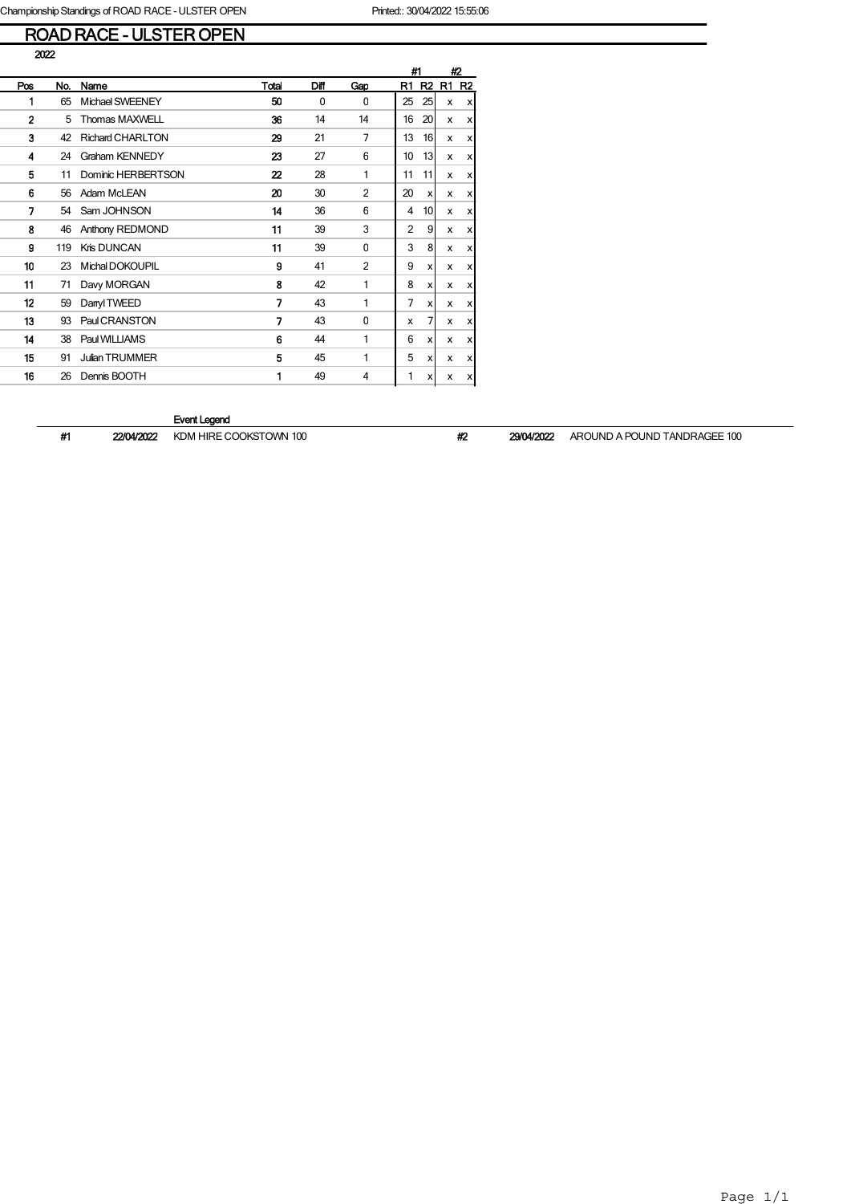# ROAD RACE - ULSTER OPEN

|--|

|              |     |                         |       |          |                | #1 |                 | #2             |                |
|--------------|-----|-------------------------|-------|----------|----------------|----|-----------------|----------------|----------------|
| Pos          | No. | Name                    | Total | Diff     | Gap            | R1 | R <sub>2</sub>  | R <sub>1</sub> | R <sub>2</sub> |
| 1            | 65  | Michael SWEENEY         | 50    | $\Omega$ | $\Omega$       | 25 | 25              | x              | x              |
| $\mathbf{2}$ | 5   | <b>Thomas MAXWELL</b>   | 36    | 14       | 14             | 16 | 20              | x              | x              |
| 3            | 42  | <b>Richard CHARLTON</b> | 29    | 21       | 7              | 13 | 16              | x              | x              |
| 4            | 24  | <b>Graham KENNEDY</b>   | 23    | 27       | 6              | 10 | 13              | x              | x              |
| 5            | 11  | Dominic HERBERTSON      | 22    | 28       | 1              | 11 | 11              | x              | x              |
| 6            | 56  | Adam McLEAN             | 20    | 30       | $\overline{2}$ | 20 | X               | x              | x              |
| 7            | 54  | Sam JOHNSON             | 14    | 36       | 6              | 4  | 10 <sup>1</sup> | x              | x              |
| 8            | 46  | Anthony REDMOND         | 11    | 39       | 3              | 2  | 9               | x              | x              |
| 9            | 119 | Kris DUNCAN             | 11    | 39       | $\mathbf{0}$   | 3  | 8               | x              | x              |
| 10           | 23  | Michal DOKOUPIL         | 9     | 41       | $\overline{2}$ | 9  | x               | x              | x              |
| 11           | 71  | Davy MORGAN             | 8     | 42       | 1              | 8  | x               | x              | x              |
| 12           | 59  | Danyl TWEED             | 7     | 43       | 1              | 7  | x               | x              | x              |
| 13           | 93  | Paul CRANSTON           | 7     | 43       | $\Omega$       | x  | 7               | x              | x              |
| 14           | 38  | Paul WILLIAMS           | 6     | 44       | 1              | 6  | x               | x              | x              |
| 15           | 91  | <b>Julian TRUMMER</b>   | 5     | 45       | 1              | 5  | x               | x              | х              |
| 16           | 26  | Dennis BOOTH            | 1     | 49       | 4              | 1  | x               | x              | x              |

### Event Legend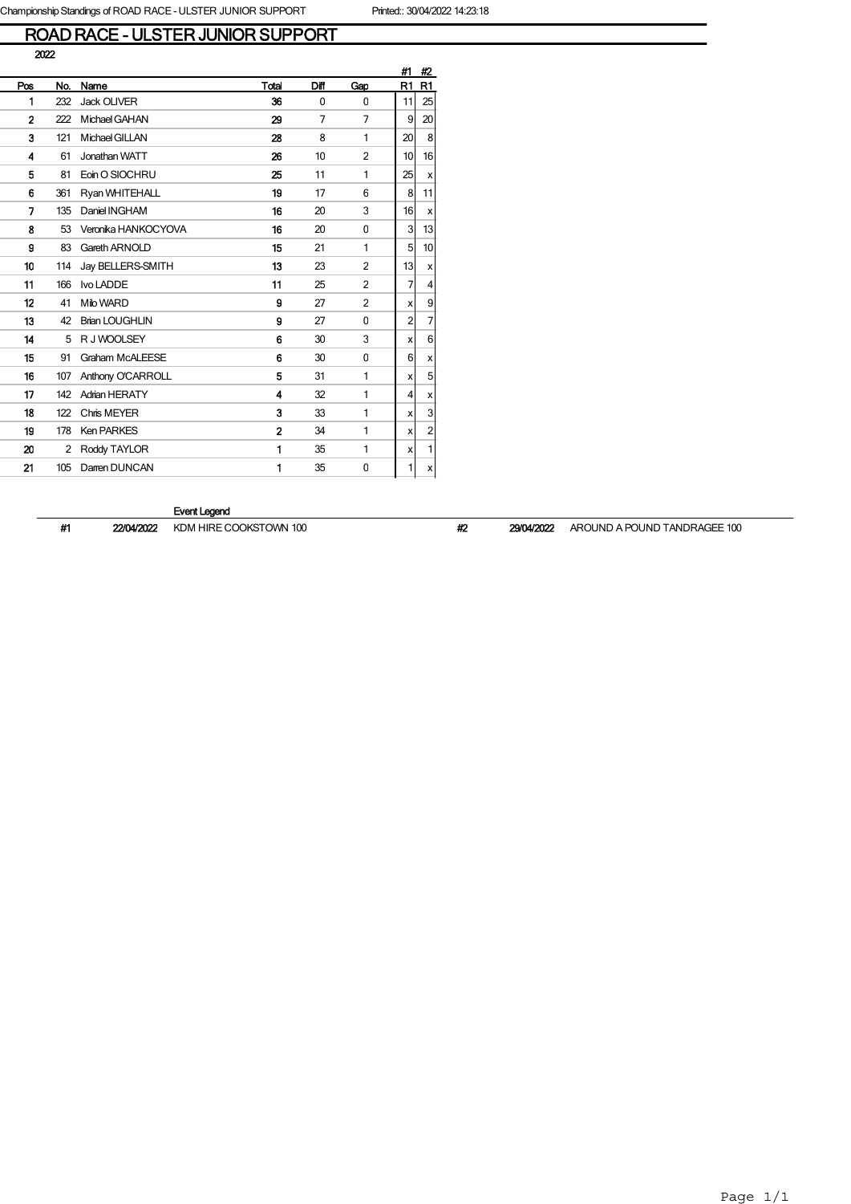# ROAD RACE - ULSTER JUNIOR SUPPORT

|                |     |                        |                |      |                | #1 | #2             |
|----------------|-----|------------------------|----------------|------|----------------|----|----------------|
| Pos            | No. | Name                   | Total          | Diff | Gap            | R1 | R1             |
| 1              | 232 | <b>Jack OLIVER</b>     | 36             | 0    | 0              | 11 | 25             |
| $\overline{2}$ | 222 | Michael GAHAN          | 29             | 7    | 7              | 9  | 20             |
| 3              | 121 | Michael GILLAN         | 28             | 8    | 1              | 20 | 8              |
| 4              | 61  | Jonathan WATT          | 26             | 10   | 2              | 10 | 16             |
| 5              | 81  | Eoin O SIOCHRU         | 25             | 11   | 1              | 25 | x              |
| 6              | 361 | Ryan WHITEHALL         | 19             | 17   | 6              | 8  | 11             |
| 7              | 135 | Daniel INGHAM          | 16             | 20   | 3              | 16 | x              |
| 8              | 53  | Veronika HANKOCYOVA    | 16             | 20   | 0              | 3  | 13             |
| 9              | 83  | Gareth ARNOLD          | 15             | 21   | 1              | 5  | 10             |
| 10             | 114 | Jay BELLERS-SMITH      | 13             | 23   | $\overline{2}$ | 13 | x              |
| 11             | 166 | Ivo LADDE              | 11             | 25   | $\overline{2}$ | 7  | 4              |
| 12             | 41  | Milo WARD              | 9              | 27   | $\overline{2}$ | x  | 9              |
| 13             | 42  | <b>Brian LOUGHLIN</b>  | 9              | 27   | 0              | 2  | $\overline{7}$ |
| 14             | 5   | R J WOOLSEY            | 6              | 30   | 3              | x  | 6              |
| 15             | 91  | <b>Graham McALEESE</b> | 6              | 30   | 0              | 6  | x              |
| 16             | 107 | Anthony O'CARROLL      | 5              | 31   | 1              | x  | 5              |
| 17             | 142 | <b>Adrian HERATY</b>   | 4              | 32   | 1              | 4  | x              |
| 18             | 122 | Chris MEYER            | 3              | 33   | 1              | x  | 3              |
| 19             | 178 | <b>Ken PARKES</b>      | $\overline{2}$ | 34   | 1              | x  | $\overline{2}$ |
| 20             | 2   | Roddy TAYLOR           | 1              | 35   | 1              | x  | 1              |
| 21             | 105 | Darren DUNCAN          | 1              | 35   | 0              | 1  | x              |

### Event Legend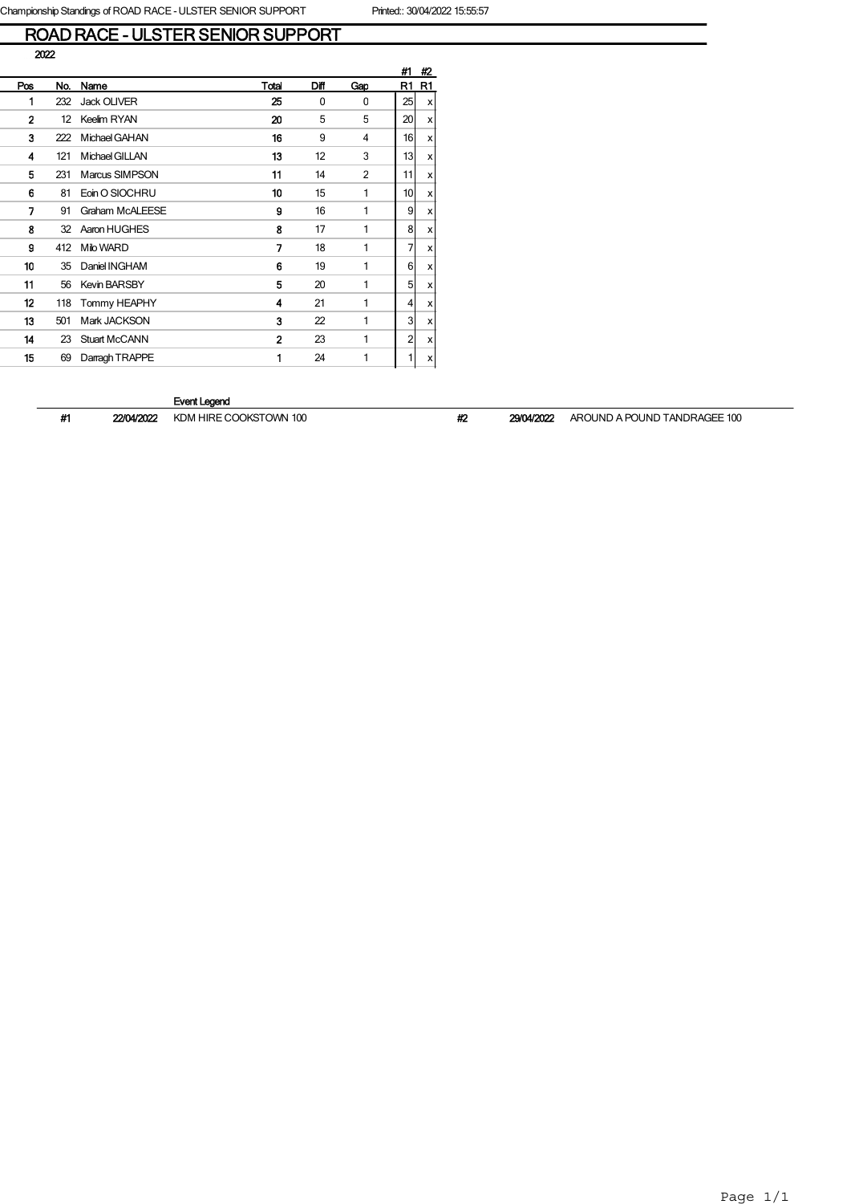# ROAD RACE - ULSTER SENIOR SUPPORT

|                |     |                        |                |      |                | #1              | #2 |
|----------------|-----|------------------------|----------------|------|----------------|-----------------|----|
| Pos            | No. | Name                   | Total          | Difl | Gap            | R1              | R1 |
| 1              | 232 | <b>Jack OLIVER</b>     | 25             | 0    | 0              | 25              | x  |
| $\overline{2}$ | 12  | Keelim RYAN            | 20             | 5    | 5              | 20 <sup>1</sup> | x  |
| 3              | 222 | Michael GAHAN          | 16             | 9    | 4              | 16              | x  |
| 4              | 121 | Michael GILLAN         | 13             | 12   | 3              | 13 <sub>l</sub> | x  |
| 5              | 231 | Marcus SIMPSON         | 11             | 14   | $\overline{2}$ | 11              | x  |
| 6              | 81  | Eoin O SIOCHRU         | 10             | 15   | 1              | 10 <sup>1</sup> | x  |
| 7              | 91  | <b>Graham McALEESE</b> | 9              | 16   | 1              | 9               | x  |
| 8              | 32  | Aaron HUGHES           | 8              | 17   | 1              | 8               | x  |
| 9              | 412 | Milo WARD              | 7              | 18   | 1              | 7               | x  |
| 10             | 35  | Daniel INGHAM          | 6              | 19   | 1              | 6               | x  |
| 11             | 56  | <b>Kevin BARSBY</b>    | 5              | 20   | 1              | 5               | x  |
| 12             | 118 | Tommy HEAPHY           | 4              | 21   | 1              | 4               | x  |
| 13             | 501 | Mark JACKSON           | 3              | 22   | 1              | 3               | x  |
| 14             | 23  | <b>Stuart McCANN</b>   | $\overline{2}$ | 23   | 1              | $\overline{2}$  | x  |
| 15             | 69  | Darragh TRAPPE         | 1              | 24   | 1              | 1               | x  |
|                |     |                        |                |      |                |                 |    |

### Event Legend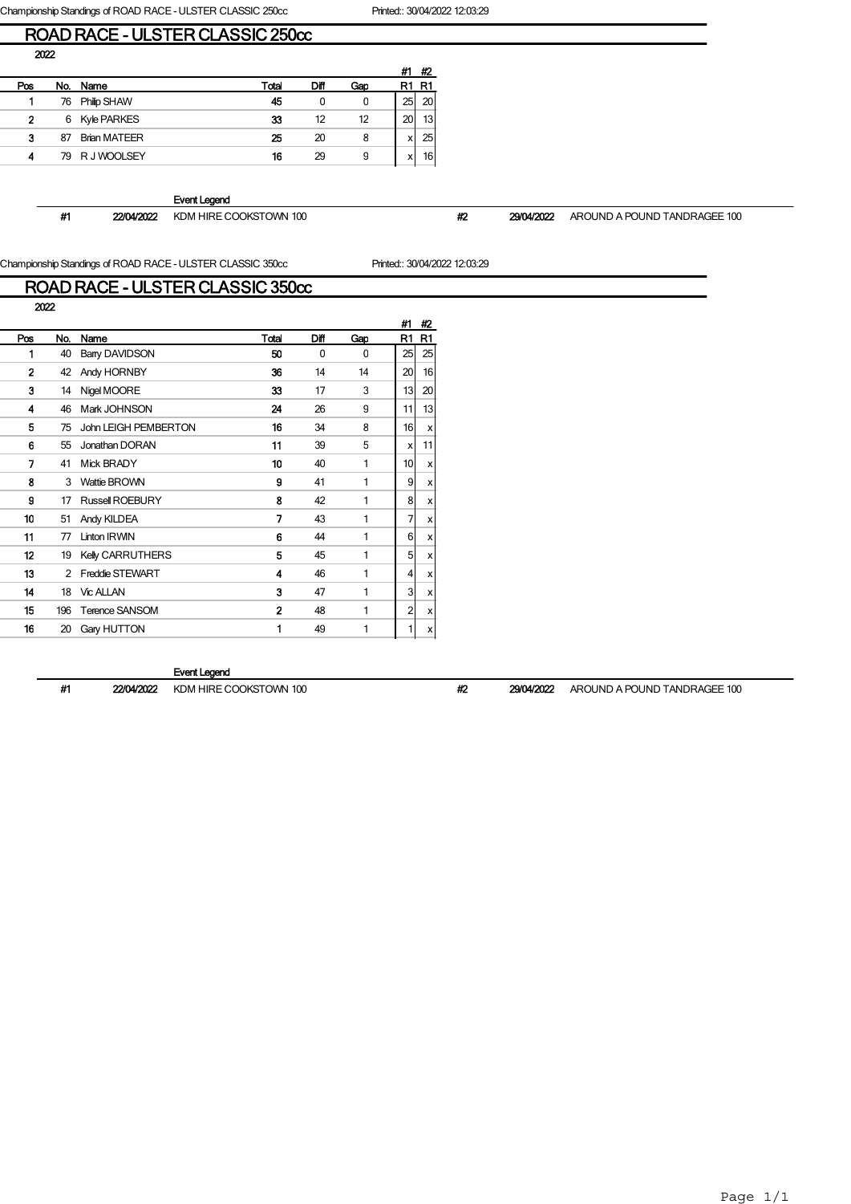Championship Standings of ROAD RACE - ULSTER CLASSIC 250cc Printed:: 30/04/2022 12:03:29

### ROAD RACE - ULSTER CLASSIC 250cc

|     |     |                     |       |      |     | #1 | #2              |
|-----|-----|---------------------|-------|------|-----|----|-----------------|
| Pos | No. | Name                | Total | Diff | Gao |    | R1              |
|     | 76  | <b>Philip SHAW</b>  | 45    | 0    | 0   | 25 | 20              |
| 2   | 6   | <b>Kyle PARKES</b>  | 33    | 12   | 12  | 20 | 13 <sub>1</sub> |
| 3   | 87  | <b>Brian MATEER</b> | 25    | 20   | 8   | x  | 25              |
| 4   | 79. | R J WOOLSEY         | 16    | 29   | 9   | x  | 16              |

Event Legend

#1 22/04/2022 KDM HIRE COOKSTOWN 100 #2 #2 29/04/2022 AROUND A POUND TANDRAGEE 100

Championship Standings of ROAD RACE - ULSTER CLASSIC 350cc Printed:: 30/04/2022 12:03:29

## ROAD RACE - ULSTER CLASSIC 350cc

| 2022           |     |                         |                |      |          |          |                           |
|----------------|-----|-------------------------|----------------|------|----------|----------|---------------------------|
|                |     |                         |                |      |          | #1       | #2                        |
| Pos            | No. | Name                    | Total          | Diff | Gap      | R1       | R <sub>1</sub>            |
| 1              | 40  | Barry DAVIDSON          | 50             | 0    | $\Omega$ | 25       | 25                        |
| $\overline{2}$ | 42  | Andy HORNBY             | 36             | 14   | 14       | 20       | 16                        |
| 3              | 14  | Nigel MOORE             | 33             | 17   | 3        | 13       | 20                        |
| 4              | 46  | Mark JOHNSON            | 24             | 26   | 9        | 11       | 13                        |
| 5              | 75  | John LEIGH PEMBERTON    | 16             | 34   | 8        | 16       | $\boldsymbol{\mathsf{x}}$ |
| 6              | 55  | Jonathan DORAN          | 11             | 39   | 5        | x        | 11                        |
| 7              | 41  | <b>Mick BRADY</b>       | 10             | 40   | 1        | 10       | x                         |
| 8              | 3   | Wattie BROWN            | 9              | 41   | 1        | 9        | x                         |
| 9              | 17  | <b>Russell ROEBURY</b>  | 8              | 42   | 1        | 8        | x                         |
| 10             | 51  | Andy KILDEA             | 7              | 43   | 1        | 7        | x                         |
| 11             | 77  | <b>Linton IRWIN</b>     | 6              | 44   | 1        | $6 \mid$ | x                         |
| 12             | 19  | <b>Kelly CARRUTHERS</b> | 5              | 45   | 1        | 5        | x                         |
| 13             | 2   | <b>Freddie STEWART</b>  | 4              | 46   | 1        | 4        | X                         |
| 14             | 18  | <b>Vic ALLAN</b>        | 3              | 47   | 1        | 3        | x                         |
| 15             | 196 | <b>Terence SANSOM</b>   | $\overline{2}$ | 48   | 1        | 2        | x                         |
| 16             | 20  | Gary HUTTON             | 1              | 49   | 1        | 1        | X                         |
|                |     |                         |                |      |          |          |                           |

### Event Legend